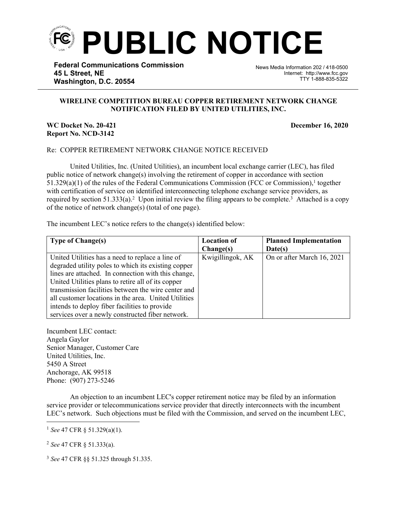

**Federal Communications Commission 45 L Street, NE Washington, D.C. 20554**

News Media Information 202 / 418-0500 Internet: http://www.fcc.gov TTY 1-888-835-5322

## **WIRELINE COMPETITION BUREAU COPPER RETIREMENT NETWORK CHANGE NOTIFICATION FILED BY UNITED UTILITIES, INC.**

֡֡֡֡

## **WC Docket No. 20-421 December 16, 2020 Report No. NCD-3142**

## Re: COPPER RETIREMENT NETWORK CHANGE NOTICE RECEIVED

United Utilities, Inc. (United Utilities), an incumbent local exchange carrier (LEC), has filed public notice of network change(s) involving the retirement of copper in accordance with section  $51.329(a)(1)$  of the rules of the Federal Communications Commission (FCC or Commission),<sup>1</sup> together with certification of service on identified interconnecting telephone exchange service providers, as required by section  $51.333(a)$ .<sup>2</sup> Upon initial review the filing appears to be complete.<sup>3</sup> Attached is a copy of the notice of network change(s) (total of one page).

The incumbent LEC's notice refers to the change(s) identified below:

| <b>Type of Change(s)</b>                             | <b>Location of</b> | <b>Planned Implementation</b> |
|------------------------------------------------------|--------------------|-------------------------------|
|                                                      | Change(s)          | Date(s)                       |
| United Utilities has a need to replace a line of     | Kwigillingok, AK   | On or after March 16, 2021    |
| degraded utility poles to which its existing copper  |                    |                               |
| lines are attached. In connection with this change,  |                    |                               |
| United Utilities plans to retire all of its copper   |                    |                               |
| transmission facilities between the wire center and  |                    |                               |
| all customer locations in the area. United Utilities |                    |                               |
| intends to deploy fiber facilities to provide        |                    |                               |
| services over a newly constructed fiber network.     |                    |                               |

Incumbent LEC contact: Angela Gaylor Senior Manager, Customer Care United Utilities, Inc. 5450 A Street Anchorage, AK 99518 Phone: (907) 273-5246

An objection to an incumbent LEC's copper retirement notice may be filed by an information service provider or telecommunications service provider that directly interconnects with the incumbent LEC's network. Such objections must be filed with the Commission, and served on the incumbent LEC,

<sup>2</sup> *See* 47 CFR § 51.333(a).

<sup>3</sup> *See* 47 CFR §§ 51.325 through 51.335.

<sup>1</sup> *See* 47 CFR § 51.329(a)(1).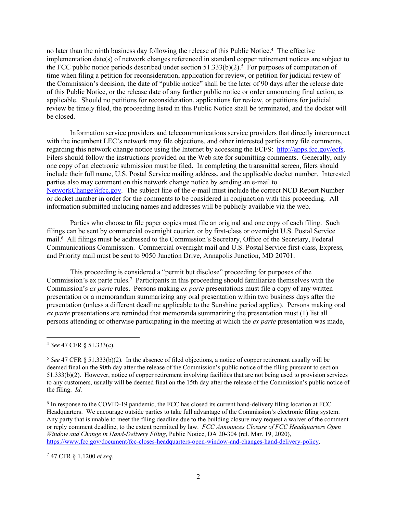no later than the ninth business day following the release of this Public Notice.<sup>4</sup> The effective implementation date(s) of network changes referenced in standard copper retirement notices are subject to the FCC public notice periods described under section  $51.333(b)(2)$ .<sup>5</sup> For purposes of computation of time when filing a petition for reconsideration, application for review, or petition for judicial review of the Commission's decision, the date of "public notice" shall be the later of 90 days after the release date of this Public Notice, or the release date of any further public notice or order announcing final action, as applicable. Should no petitions for reconsideration, applications for review, or petitions for judicial review be timely filed, the proceeding listed in this Public Notice shall be terminated, and the docket will be closed.

Information service providers and telecommunications service providers that directly interconnect with the incumbent LEC's network may file objections, and other interested parties may file comments, regarding this network change notice using the Internet by accessing the ECFS: [http://apps.fcc.gov/ecfs.](http://apps.fcc.gov/ecfs) Filers should follow the instructions provided on the Web site for submitting comments. Generally, only one copy of an electronic submission must be filed. In completing the transmittal screen, filers should include their full name, U.S. Postal Service mailing address, and the applicable docket number. Interested parties also may comment on this network change notice by sending an e-mail to [NetworkChange@fcc.gov.](mailto:NetworkChange@fcc.gov) The subject line of the e-mail must include the correct NCD Report Number or docket number in order for the comments to be considered in conjunction with this proceeding. All information submitted including names and addresses will be publicly available via the web.

Parties who choose to file paper copies must file an original and one copy of each filing. Such filings can be sent by commercial overnight courier, or by first-class or overnight U.S. Postal Service mail.<sup>6</sup> All filings must be addressed to the Commission's Secretary, Office of the Secretary, Federal Communications Commission. Commercial overnight mail and U.S. Postal Service first-class, Express, and Priority mail must be sent to 9050 Junction Drive, Annapolis Junction, MD 20701.

This proceeding is considered a "permit but disclose" proceeding for purposes of the Commission's ex parte rules.<sup>7</sup> Participants in this proceeding should familiarize themselves with the Commission's *ex parte* rules. Persons making *ex parte* presentations must file a copy of any written presentation or a memorandum summarizing any oral presentation within two business days after the presentation (unless a different deadline applicable to the Sunshine period applies). Persons making oral *ex parte* presentations are reminded that memoranda summarizing the presentation must (1) list all persons attending or otherwise participating in the meeting at which the *ex parte* presentation was made,

<sup>7</sup> 47 CFR § 1.1200 *et seq*.

<sup>4</sup> *See* 47 CFR § 51.333(c).

<sup>5</sup> *See* 47 CFR § 51.333(b)(2). In the absence of filed objections, a notice of copper retirement usually will be deemed final on the 90th day after the release of the Commission's public notice of the filing pursuant to section 51.333(b)(2). However, notice of copper retirement involving facilities that are not being used to provision services to any customers, usually will be deemed final on the 15th day after the release of the Commission's public notice of the filing. *Id*.

<sup>&</sup>lt;sup>6</sup> In response to the COVID-19 pandemic, the FCC has closed its current hand-delivery filing location at FCC Headquarters. We encourage outside parties to take full advantage of the Commission's electronic filing system. Any party that is unable to meet the filing deadline due to the building closure may request a waiver of the comment or reply comment deadline, to the extent permitted by law. *FCC Announces Closure of FCC Headquarters Open Window and Change in Hand-Delivery Filing*, Public Notice, DA 20-304 (rel. Mar. 19, 2020), [https://www.fcc.gov/document/fcc-closes-headquarters-open-window-and-changes-hand-delivery-policy.](https://www.fcc.gov/document/fcc-closes-headquarters-open-window-and-changes-hand-delivery-policy)